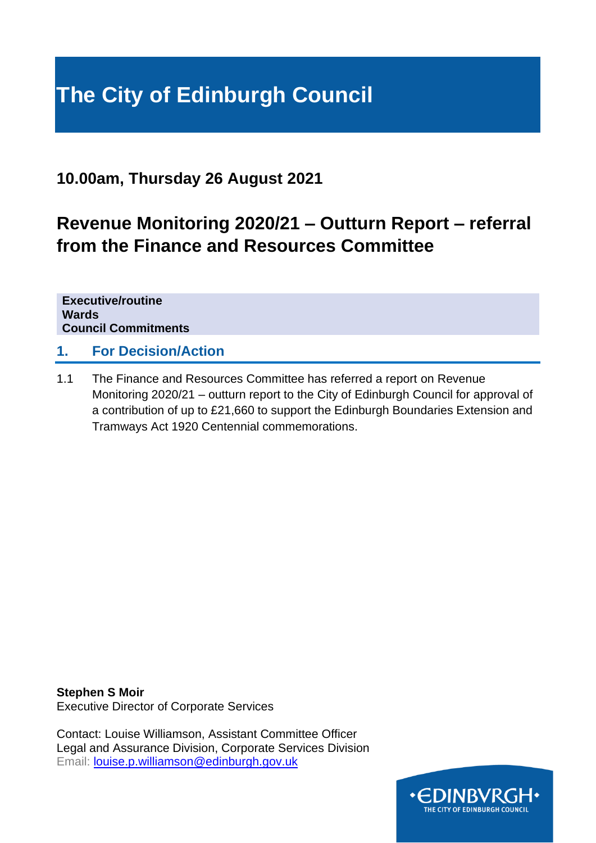# **The City of Edinburgh Council**

### **10.00am, Thursday 26 August 2021**

## **Revenue Monitoring 2020/21 – Outturn Report – referral from the Finance and Resources Committee**

**Executive/routine Wards Council Commitments**

#### **1. For Decision/Action**

1.1 The Finance and Resources Committee has referred a report on Revenue Monitoring 2020/21 – outturn report to the City of Edinburgh Council for approval of a contribution of up to £21,660 to support the Edinburgh Boundaries Extension and Tramways Act 1920 Centennial commemorations.

**Stephen S Moir** Executive Director of Corporate Services

Contact: Louise Williamson, Assistant Committee Officer Legal and Assurance Division, Corporate Services Division Email: [louise.p.williamson@edinburgh.gov.uk](mailto:louise.p.williamson@edinburgh.gov.uk)

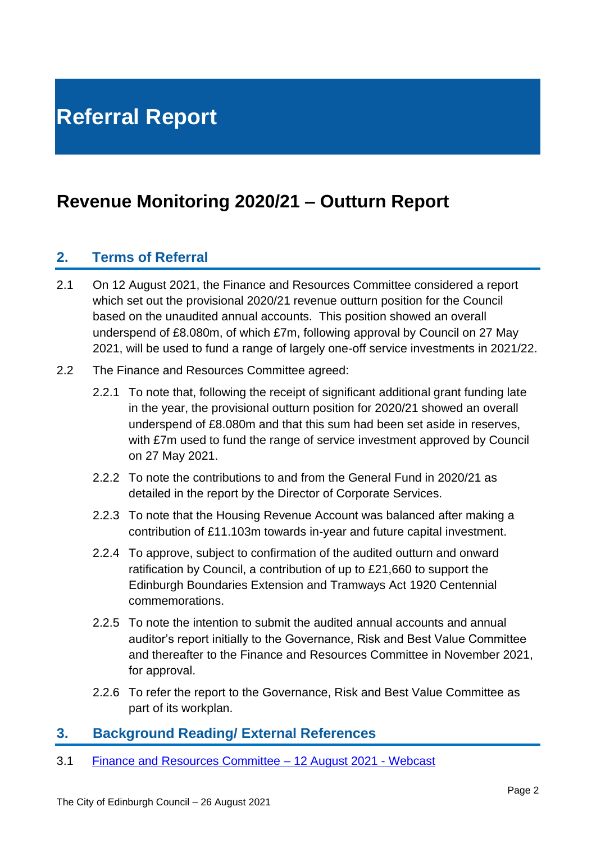## **Referral Report**

## **Revenue Monitoring 2020/21 – Outturn Report**

#### **2. Terms of Referral**

- 2.1 On 12 August 2021, the Finance and Resources Committee considered a report which set out the provisional 2020/21 revenue outturn position for the Council based on the unaudited annual accounts. This position showed an overall underspend of £8.080m, of which £7m, following approval by Council on 27 May 2021, will be used to fund a range of largely one-off service investments in 2021/22.
- 2.2 The Finance and Resources Committee agreed:
	- 2.2.1 To note that, following the receipt of significant additional grant funding late in the year, the provisional outturn position for 2020/21 showed an overall underspend of £8.080m and that this sum had been set aside in reserves, with £7m used to fund the range of service investment approved by Council on 27 May 2021.
	- 2.2.2. To note the contributions to and from the General Fund in 2020/21 as detailed in the report by the Director of Corporate Services.
	- 2.2.3 To note that the Housing Revenue Account was balanced after making a contribution of £11.103m towards in-year and future capital investment.
	- 2.2.4 To approve, subject to confirmation of the audited outturn and onward ratification by Council, a contribution of up to £21,660 to support the Edinburgh Boundaries Extension and Tramways Act 1920 Centennial commemorations.
	- 2.2.5 To note the intention to submit the audited annual accounts and annual auditor's report initially to the Governance, Risk and Best Value Committee and thereafter to the Finance and Resources Committee in November 2021, for approval.
	- 2.2.6 To refer the report to the Governance, Risk and Best Value Committee as part of its workplan.

#### **3. Background Reading/ External References**

3.1 [Finance and Resources Committee –](https://edinburgh.public-i.tv/core/portal/webcast_interactive/591851) 12 August 2021 - Webcast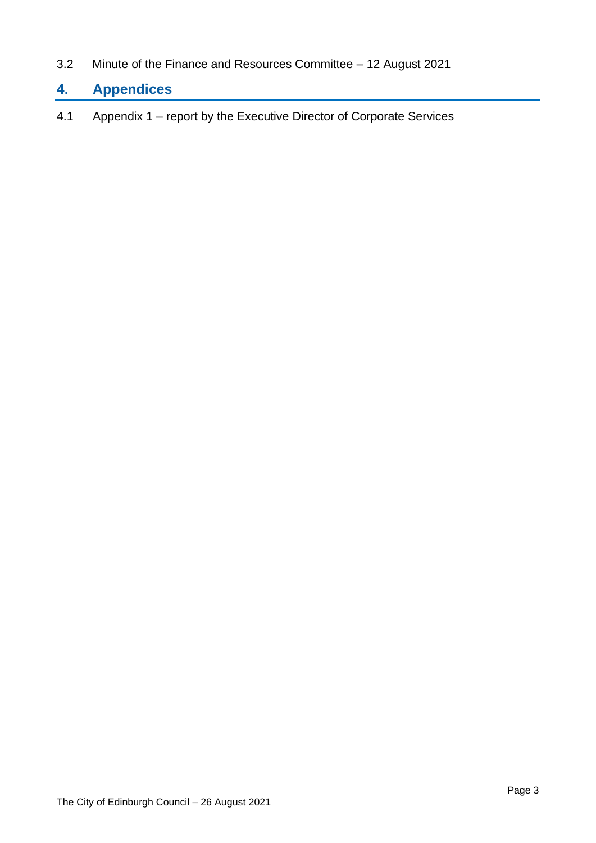3.2 Minute of the Finance and Resources Committee – 12 August 2021

### **4. Appendices**

4.1 Appendix 1 – report by the Executive Director of Corporate Services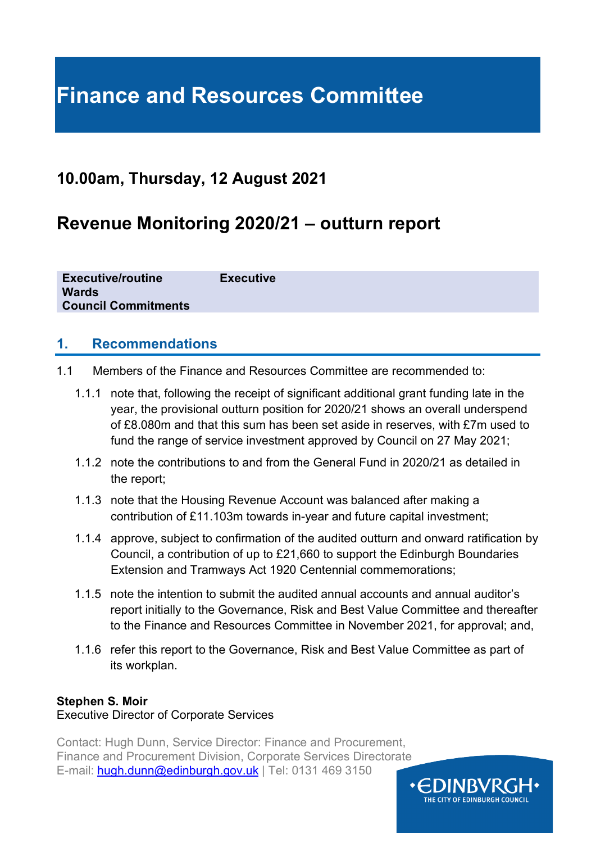## **Finance and Resources Committee**

### **10.00am, Thursday, 12 August 2021**

## **Revenue Monitoring 2020/21 – outturn report**

**Executive/routine Executive Wards Council Commitments**

#### **1. Recommendations**

- 1.1 Members of the Finance and Resources Committee are recommended to:
	- 1.1.1 note that, following the receipt of significant additional grant funding late in the year, the provisional outturn position for 2020/21 shows an overall underspend of £8.080m and that this sum has been set aside in reserves, with £7m used to fund the range of service investment approved by Council on 27 May 2021;
	- 1.1.2 note the contributions to and from the General Fund in 2020/21 as detailed in the report;
	- 1.1.3 note that the Housing Revenue Account was balanced after making a contribution of £11.103m towards in-year and future capital investment;
	- 1.1.4 approve, subject to confirmation of the audited outturn and onward ratification by Council, a contribution of up to £21,660 to support the Edinburgh Boundaries Extension and Tramways Act 1920 Centennial commemorations;
	- 1.1.5 note the intention to submit the audited annual accounts and annual auditor's report initially to the Governance, Risk and Best Value Committee and thereafter to the Finance and Resources Committee in November 2021, for approval; and,
	- 1.1.6 refer this report to the Governance, Risk and Best Value Committee as part of its workplan.

#### **Stephen S. Moir**

#### Executive Director of Corporate Services

Contact: Hugh Dunn, Service Director: Finance and Procurement, Finance and Procurement Division, Corporate Services Directorate E-mail: [hugh.dunn@edinburgh.gov.uk](mailto:hugh.dunn@edinburgh.gov.uk) | Tel: 0131 469 3150

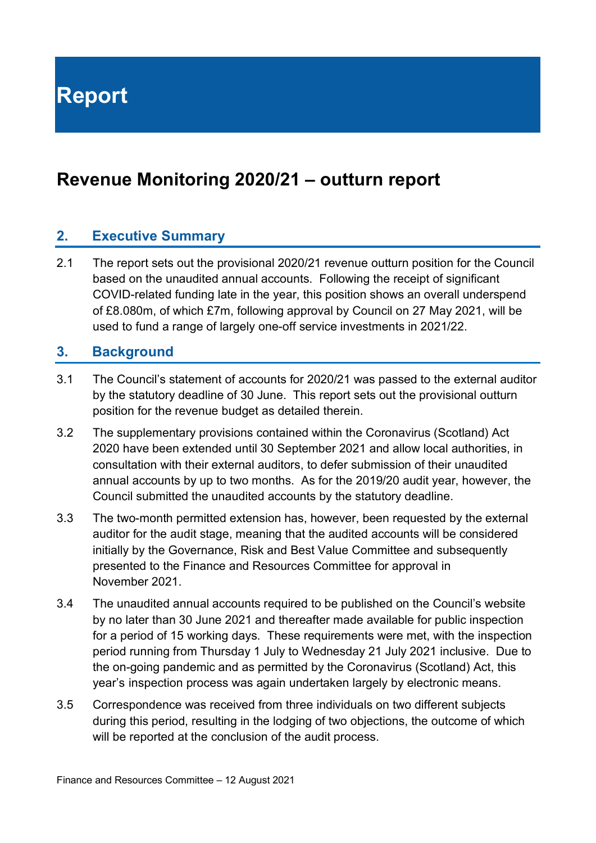**Report**

## **Revenue Monitoring 2020/21 – outturn report**

#### **2. Executive Summary**

2.1 The report sets out the provisional 2020/21 revenue outturn position for the Council based on the unaudited annual accounts. Following the receipt of significant COVID-related funding late in the year, this position shows an overall underspend of £8.080m, of which £7m, following approval by Council on 27 May 2021, will be used to fund a range of largely one-off service investments in 2021/22.

#### **3. Background**

- 3.1 The Council's statement of accounts for 2020/21 was passed to the external auditor by the statutory deadline of 30 June. This report sets out the provisional outturn position for the revenue budget as detailed therein.
- 3.2 The supplementary provisions contained within the Coronavirus (Scotland) Act 2020 have been extended until 30 September 2021 and allow local authorities, in consultation with their external auditors, to defer submission of their unaudited annual accounts by up to two months. As for the 2019/20 audit year, however, the Council submitted the unaudited accounts by the statutory deadline.
- 3.3 The two-month permitted extension has, however, been requested by the external auditor for the audit stage, meaning that the audited accounts will be considered initially by the Governance, Risk and Best Value Committee and subsequently presented to the Finance and Resources Committee for approval in November 2021.
- 3.4 The unaudited annual accounts required to be published on the Council's website by no later than 30 June 2021 and thereafter made available for public inspection for a period of 15 working days. These requirements were met, with the inspection period running from Thursday 1 July to Wednesday 21 July 2021 inclusive. Due to the on-going pandemic and as permitted by the Coronavirus (Scotland) Act, this year's inspection process was again undertaken largely by electronic means.
- 3.5 Correspondence was received from three individuals on two different subjects during this period, resulting in the lodging of two objections, the outcome of which will be reported at the conclusion of the audit process.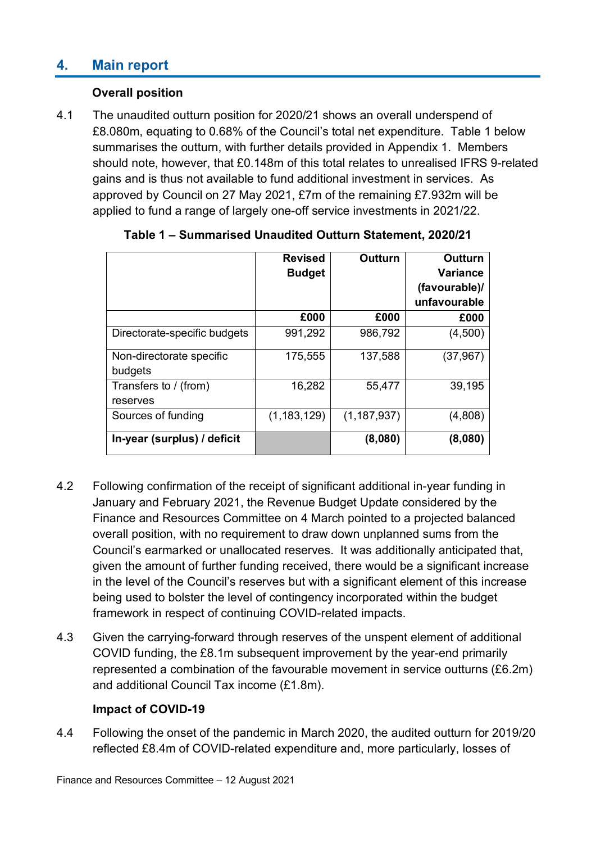### **4. Main report**

#### **Overall position**

4.1 The unaudited outturn position for 2020/21 shows an overall underspend of £8.080m, equating to 0.68% of the Council's total net expenditure. Table 1 below summarises the outturn, with further details provided in Appendix 1. Members should note, however, that £0.148m of this total relates to unrealised IFRS 9-related gains and is thus not available to fund additional investment in services. As approved by Council on 27 May 2021, £7m of the remaining £7.932m will be applied to fund a range of largely one-off service investments in 2021/22.

|                              | <b>Revised</b><br><b>Budget</b> | <b>Outturn</b> | Outturn<br><b>Variance</b> |  |
|------------------------------|---------------------------------|----------------|----------------------------|--|
|                              |                                 |                | (favourable)/              |  |
|                              |                                 |                | unfavourable               |  |
|                              | £000                            | £000           | £000                       |  |
| Directorate-specific budgets | 991,292                         | 986,792        | (4,500)                    |  |
| Non-directorate specific     | 175,555                         | 137,588        | (37,967)                   |  |
| budgets                      |                                 |                |                            |  |
| Transfers to / (from)        | 16,282                          | 55,477         | 39,195                     |  |
| reserves                     |                                 |                |                            |  |
| Sources of funding           | (1, 183, 129)                   | (1, 187, 937)  | (4,808)                    |  |
| In-year (surplus) / deficit  |                                 | (8,080)        | (8,080)                    |  |

| Table 1 - Summarised Unaudited Outturn Statement, 2020/21 |  |  |
|-----------------------------------------------------------|--|--|
|-----------------------------------------------------------|--|--|

- 4.2 Following confirmation of the receipt of significant additional in-year funding in January and February 2021, the Revenue Budget Update considered by the Finance and Resources Committee on 4 March pointed to a projected balanced overall position, with no requirement to draw down unplanned sums from the Council's earmarked or unallocated reserves. It was additionally anticipated that, given the amount of further funding received, there would be a significant increase in the level of the Council's reserves but with a significant element of this increase being used to bolster the level of contingency incorporated within the budget framework in respect of continuing COVID-related impacts.
- 4.3 Given the carrying-forward through reserves of the unspent element of additional COVID funding, the £8.1m subsequent improvement by the year-end primarily represented a combination of the favourable movement in service outturns (£6.2m) and additional Council Tax income (£1.8m).

#### **Impact of COVID-19**

4.4 Following the onset of the pandemic in March 2020, the audited outturn for 2019/20 reflected £8.4m of COVID-related expenditure and, more particularly, losses of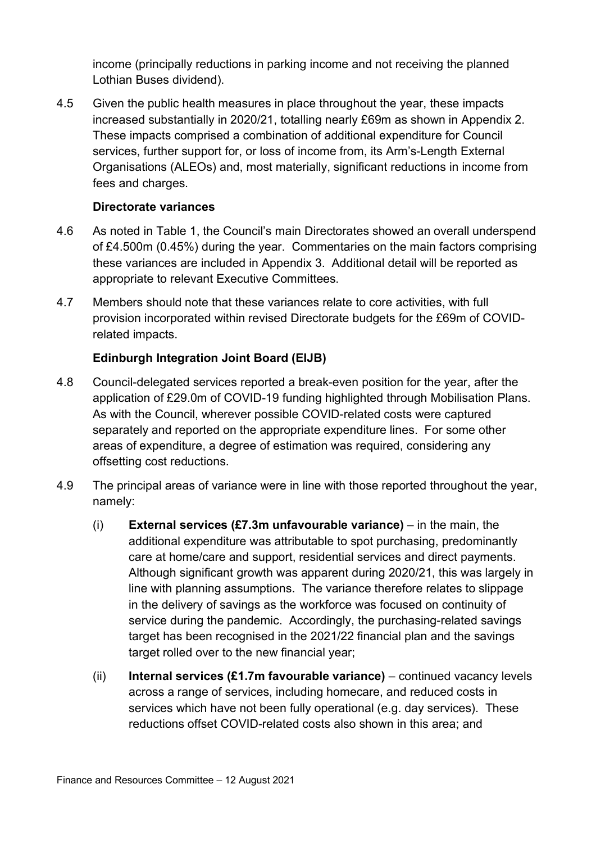income (principally reductions in parking income and not receiving the planned Lothian Buses dividend).

4.5 Given the public health measures in place throughout the year, these impacts increased substantially in 2020/21, totalling nearly £69m as shown in Appendix 2. These impacts comprised a combination of additional expenditure for Council services, further support for, or loss of income from, its Arm's-Length External Organisations (ALEOs) and, most materially, significant reductions in income from fees and charges.

#### **Directorate variances**

- 4.6 As noted in Table 1, the Council's main Directorates showed an overall underspend of £4.500m (0.45%) during the year. Commentaries on the main factors comprising these variances are included in Appendix 3. Additional detail will be reported as appropriate to relevant Executive Committees.
- 4.7 Members should note that these variances relate to core activities, with full provision incorporated within revised Directorate budgets for the £69m of COVIDrelated impacts.

#### **Edinburgh Integration Joint Board (EIJB)**

- 4.8 Council-delegated services reported a break-even position for the year, after the application of £29.0m of COVID-19 funding highlighted through Mobilisation Plans. As with the Council, wherever possible COVID-related costs were captured separately and reported on the appropriate expenditure lines. For some other areas of expenditure, a degree of estimation was required, considering any offsetting cost reductions.
- 4.9 The principal areas of variance were in line with those reported throughout the year, namely:
	- (i) **External services (£7.3m unfavourable variance)** in the main, the additional expenditure was attributable to spot purchasing, predominantly care at home/care and support, residential services and direct payments. Although significant growth was apparent during 2020/21, this was largely in line with planning assumptions. The variance therefore relates to slippage in the delivery of savings as the workforce was focused on continuity of service during the pandemic. Accordingly, the purchasing-related savings target has been recognised in the 2021/22 financial plan and the savings target rolled over to the new financial year;
	- (ii) **Internal services (£1.7m favourable variance)** continued vacancy levels across a range of services, including homecare, and reduced costs in services which have not been fully operational (e.g. day services). These reductions offset COVID-related costs also shown in this area; and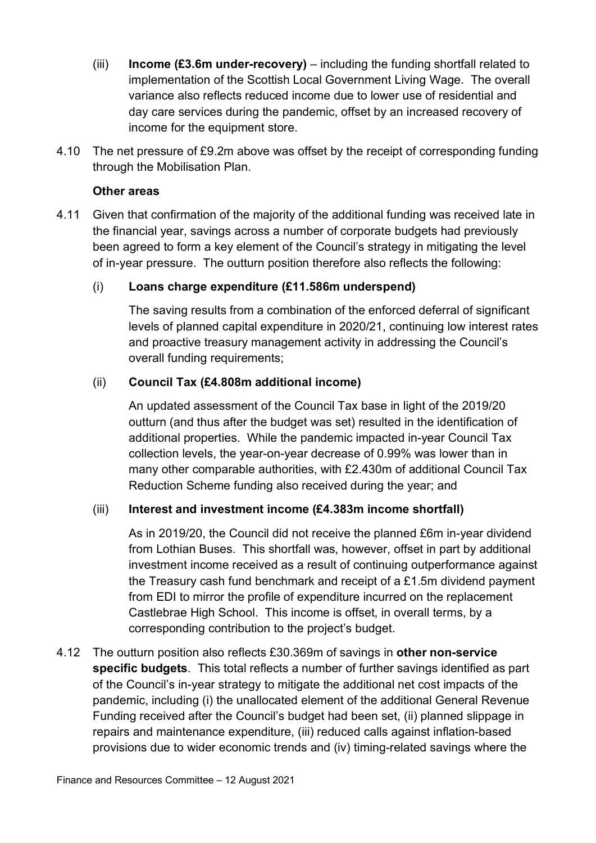- (iii) **Income (£3.6m under-recovery)** including the funding shortfall related to implementation of the Scottish Local Government Living Wage. The overall variance also reflects reduced income due to lower use of residential and day care services during the pandemic, offset by an increased recovery of income for the equipment store.
- 4.10 The net pressure of £9.2m above was offset by the receipt of corresponding funding through the Mobilisation Plan.

#### **Other areas**

4.11 Given that confirmation of the majority of the additional funding was received late in the financial year, savings across a number of corporate budgets had previously been agreed to form a key element of the Council's strategy in mitigating the level of in-year pressure. The outturn position therefore also reflects the following:

#### (i) **Loans charge expenditure (£11.586m underspend)**

The saving results from a combination of the enforced deferral of significant levels of planned capital expenditure in 2020/21, continuing low interest rates and proactive treasury management activity in addressing the Council's overall funding requirements;

#### (ii) **Council Tax (£4.808m additional income)**

An updated assessment of the Council Tax base in light of the 2019/20 outturn (and thus after the budget was set) resulted in the identification of additional properties. While the pandemic impacted in-year Council Tax collection levels, the year-on-year decrease of 0.99% was lower than in many other comparable authorities, with £2.430m of additional Council Tax Reduction Scheme funding also received during the year; and

#### (iii) **Interest and investment income (£4.383m income shortfall)**

As in 2019/20, the Council did not receive the planned £6m in-year dividend from Lothian Buses. This shortfall was, however, offset in part by additional investment income received as a result of continuing outperformance against the Treasury cash fund benchmark and receipt of a £1.5m dividend payment from EDI to mirror the profile of expenditure incurred on the replacement Castlebrae High School. This income is offset, in overall terms, by a corresponding contribution to the project's budget.

4.12 The outturn position also reflects £30.369m of savings in **other non-service specific budgets**. This total reflects a number of further savings identified as part of the Council's in-year strategy to mitigate the additional net cost impacts of the pandemic, including (i) the unallocated element of the additional General Revenue Funding received after the Council's budget had been set, (ii) planned slippage in repairs and maintenance expenditure, (iii) reduced calls against inflation-based provisions due to wider economic trends and (iv) timing-related savings where the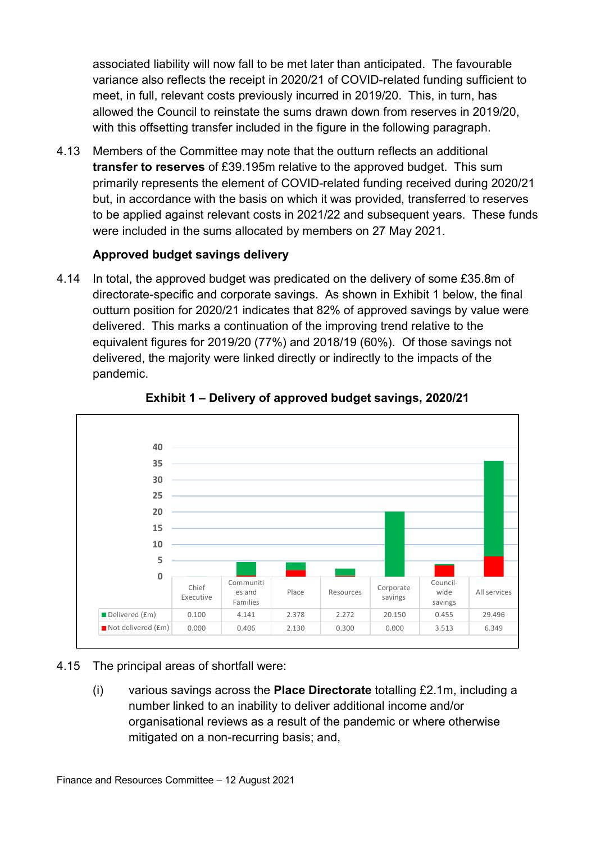associated liability will now fall to be met later than anticipated. The favourable variance also reflects the receipt in 2020/21 of COVID-related funding sufficient to meet, in full, relevant costs previously incurred in 2019/20. This, in turn, has allowed the Council to reinstate the sums drawn down from reserves in 2019/20, with this offsetting transfer included in the figure in the following paragraph.

4.13 Members of the Committee may note that the outturn reflects an additional **transfer to reserves** of £39.195m relative to the approved budget. This sum primarily represents the element of COVID-related funding received during 2020/21 but, in accordance with the basis on which it was provided, transferred to reserves to be applied against relevant costs in 2021/22 and subsequent years. These funds were included in the sums allocated by members on 27 May 2021.

#### **Approved budget savings delivery**

4.14 In total, the approved budget was predicated on the delivery of some £35.8m of directorate-specific and corporate savings. As shown in Exhibit 1 below, the final outturn position for 2020/21 indicates that 82% of approved savings by value were delivered. This marks a continuation of the improving trend relative to the equivalent figures for 2019/20 (77%) and 2018/19 (60%). Of those savings not delivered, the majority were linked directly or indirectly to the impacts of the pandemic.



 **Exhibit 1 – Delivery of approved budget savings, 2020/21**

#### 4.15 The principal areas of shortfall were:

(i) various savings across the **Place Directorate** totalling £2.1m, including a number linked to an inability to deliver additional income and/or organisational reviews as a result of the pandemic or where otherwise mitigated on a non-recurring basis; and,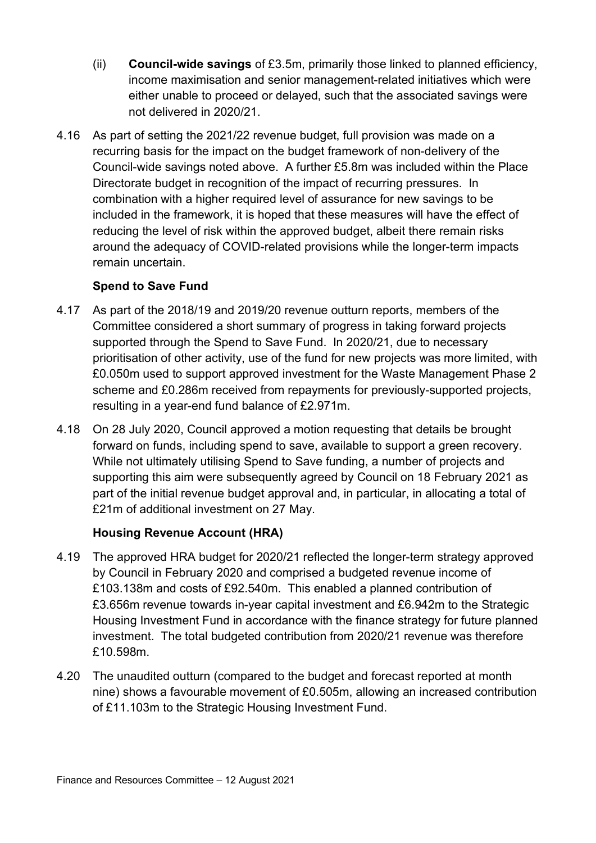- (ii) **Council-wide savings** of £3.5m, primarily those linked to planned efficiency, income maximisation and senior management-related initiatives which were either unable to proceed or delayed, such that the associated savings were not delivered in 2020/21.
- 4.16 As part of setting the 2021/22 revenue budget, full provision was made on a recurring basis for the impact on the budget framework of non-delivery of the Council-wide savings noted above. A further £5.8m was included within the Place Directorate budget in recognition of the impact of recurring pressures. In combination with a higher required level of assurance for new savings to be included in the framework, it is hoped that these measures will have the effect of reducing the level of risk within the approved budget, albeit there remain risks around the adequacy of COVID-related provisions while the longer-term impacts remain uncertain.

#### **Spend to Save Fund**

- 4.17 As part of the 2018/19 and 2019/20 revenue outturn reports, members of the Committee considered a short summary of progress in taking forward projects supported through the Spend to Save Fund. In 2020/21, due to necessary prioritisation of other activity, use of the fund for new projects was more limited, with £0.050m used to support approved investment for the Waste Management Phase 2 scheme and £0.286m received from repayments for previously-supported projects, resulting in a year-end fund balance of £2.971m.
- 4.18 On 28 July 2020, Council approved a motion requesting that details be brought forward on funds, including spend to save, available to support a green recovery. While not ultimately utilising Spend to Save funding, a number of projects and supporting this aim were subsequently agreed by Council on 18 February 2021 as part of the initial revenue budget approval and, in particular, in allocating a total of £21m of additional investment on 27 May.

#### **Housing Revenue Account (HRA)**

- 4.19 The approved HRA budget for 2020/21 reflected the longer-term strategy approved by Council in February 2020 and comprised a budgeted revenue income of £103.138m and costs of £92.540m. This enabled a planned contribution of £3.656m revenue towards in-year capital investment and £6.942m to the Strategic Housing Investment Fund in accordance with the finance strategy for future planned investment. The total budgeted contribution from 2020/21 revenue was therefore £10.598m.
- 4.20 The unaudited outturn (compared to the budget and forecast reported at month nine) shows a favourable movement of £0.505m, allowing an increased contribution of £11.103m to the Strategic Housing Investment Fund.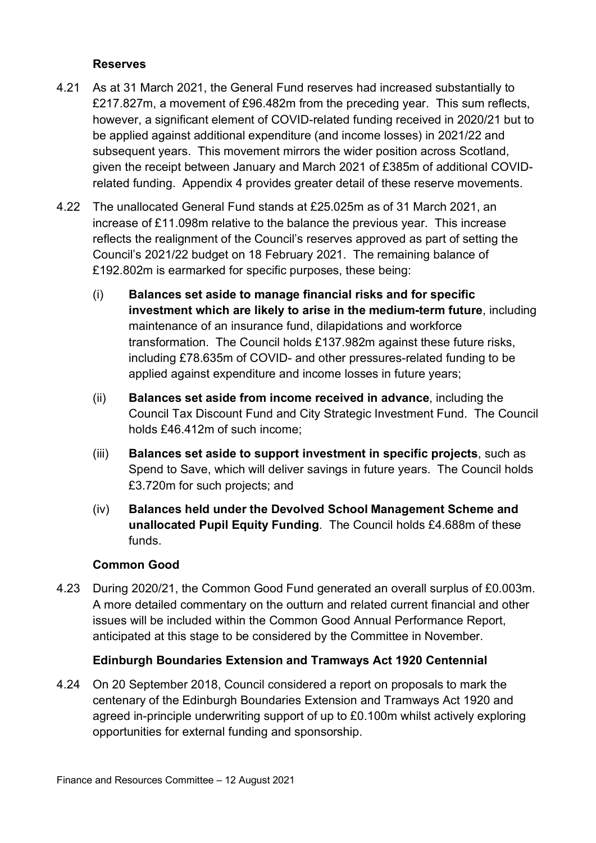#### **Reserves**

- 4.21 As at 31 March 2021, the General Fund reserves had increased substantially to £217.827m, a movement of £96.482m from the preceding year. This sum reflects, however, a significant element of COVID-related funding received in 2020/21 but to be applied against additional expenditure (and income losses) in 2021/22 and subsequent years. This movement mirrors the wider position across Scotland, given the receipt between January and March 2021 of £385m of additional COVIDrelated funding. Appendix 4 provides greater detail of these reserve movements.
- 4.22 The unallocated General Fund stands at £25.025m as of 31 March 2021, an increase of £11.098m relative to the balance the previous year. This increase reflects the realignment of the Council's reserves approved as part of setting the Council's 2021/22 budget on 18 February 2021. The remaining balance of £192.802m is earmarked for specific purposes, these being:
	- (i) **Balances set aside to manage financial risks and for specific investment which are likely to arise in the medium-term future**, including maintenance of an insurance fund, dilapidations and workforce transformation. The Council holds £137.982m against these future risks, including £78.635m of COVID- and other pressures-related funding to be applied against expenditure and income losses in future years;
	- (ii) **Balances set aside from income received in advance**, including the Council Tax Discount Fund and City Strategic Investment Fund. The Council holds £46.412m of such income;
	- (iii) **Balances set aside to support investment in specific projects**, such as Spend to Save, which will deliver savings in future years. The Council holds £3.720m for such projects; and
	- (iv) **Balances held under the Devolved School Management Scheme and unallocated Pupil Equity Funding**. The Council holds £4.688m of these funds.

#### **Common Good**

4.23 During 2020/21, the Common Good Fund generated an overall surplus of £0.003m. A more detailed commentary on the outturn and related current financial and other issues will be included within the Common Good Annual Performance Report, anticipated at this stage to be considered by the Committee in November.

#### **Edinburgh Boundaries Extension and Tramways Act 1920 Centennial**

4.24 On 20 September 2018, Council considered a report on proposals to mark the centenary of the Edinburgh Boundaries Extension and Tramways Act 1920 and agreed in-principle underwriting support of up to £0.100m whilst actively exploring opportunities for external funding and sponsorship.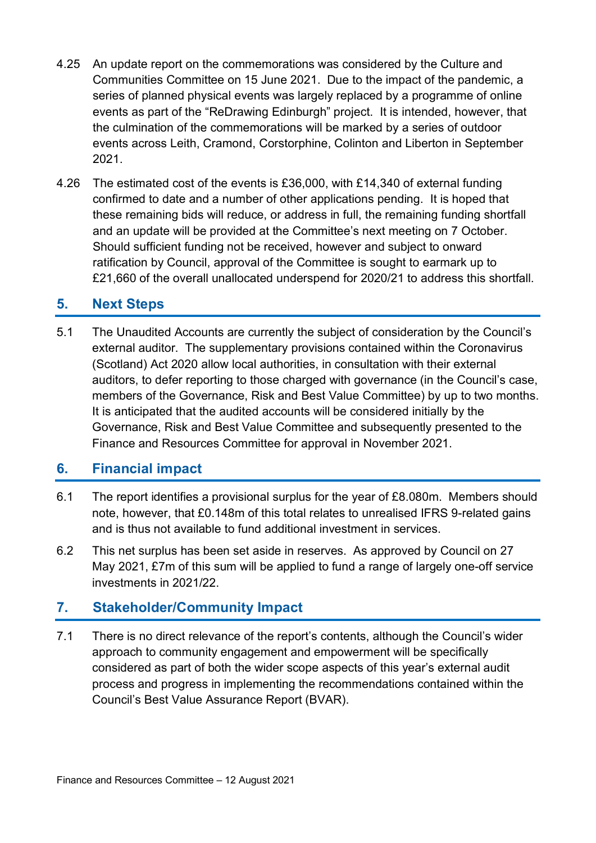- 4.25 An update report on the commemorations was considered by the Culture and Communities Committee on 15 June 2021. Due to the impact of the pandemic, a series of planned physical events was largely replaced by a programme of online events as part of the "ReDrawing Edinburgh" project. It is intended, however, that the culmination of the commemorations will be marked by a series of outdoor events across Leith, Cramond, Corstorphine, Colinton and Liberton in September 2021.
- 4.26 The estimated cost of the events is £36,000, with £14,340 of external funding confirmed to date and a number of other applications pending. It is hoped that these remaining bids will reduce, or address in full, the remaining funding shortfall and an update will be provided at the Committee's next meeting on 7 October. Should sufficient funding not be received, however and subject to onward ratification by Council, approval of the Committee is sought to earmark up to £21,660 of the overall unallocated underspend for 2020/21 to address this shortfall.

#### **5. Next Steps**

5.1 The Unaudited Accounts are currently the subject of consideration by the Council's external auditor. The supplementary provisions contained within the Coronavirus (Scotland) Act 2020 allow local authorities, in consultation with their external auditors, to defer reporting to those charged with governance (in the Council's case, members of the Governance, Risk and Best Value Committee) by up to two months. It is anticipated that the audited accounts will be considered initially by the Governance, Risk and Best Value Committee and subsequently presented to the Finance and Resources Committee for approval in November 2021.

#### **6. Financial impact**

- 6.1 The report identifies a provisional surplus for the year of £8.080m. Members should note, however, that £0.148m of this total relates to unrealised IFRS 9-related gains and is thus not available to fund additional investment in services.
- 6.2 This net surplus has been set aside in reserves. As approved by Council on 27 May 2021, £7m of this sum will be applied to fund a range of largely one-off service investments in 2021/22.

#### **7. Stakeholder/Community Impact**

7.1 There is no direct relevance of the report's contents, although the Council's wider approach to community engagement and empowerment will be specifically considered as part of both the wider scope aspects of this year's external audit process and progress in implementing the recommendations contained within the Council's Best Value Assurance Report (BVAR).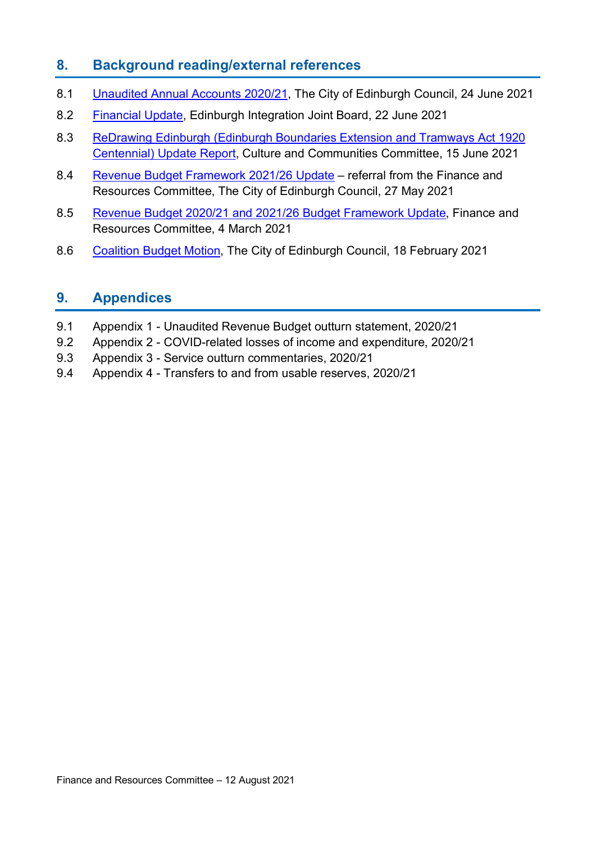#### **8. Background reading/external references**

- 8.1 [Unaudited Annual Accounts 2020/21,](https://democracy.edinburgh.gov.uk/documents/s35068/Item%207.3%20-%20Unaudited%20Annual%20Accounts%202020-21.pdf) The City of Edinburgh Council, 24 June 2021
- 8.2 [Financial Update,](https://democracy.edinburgh.gov.uk/documents/s34936/7.4%20Financial%20Update.pdf) Edinburgh Integration Joint Board, 22 June 2021
- 8.3 [ReDrawing Edinburgh \(Edinburgh Boundaries Extension and Tramways Act 1920](https://democracy.edinburgh.gov.uk/documents/s34798/Item%209.2%20-%20ReDrawing%20Edinburgh%20Edinburgh%20Boundaries%20Extension%20Tramways%20Act%201920%20Centennial%20Updat.pdf)  [Centennial\) Update Report,](https://democracy.edinburgh.gov.uk/documents/s34798/Item%209.2%20-%20ReDrawing%20Edinburgh%20Edinburgh%20Boundaries%20Extension%20Tramways%20Act%201920%20Centennial%20Updat.pdf) Culture and Communities Committee, 15 June 2021
- 8.4 [Revenue Budget Framework 2021/26 Update](https://democracy.edinburgh.gov.uk/documents/s34214/Item%207.2%20-%20Revenue%20Budget%20Framework%202021-26%20Update%20-%20Referral%20from%20FR%20Cttee.pdf) referral from the Finance and Resources Committee, The City of Edinburgh Council, 27 May 2021
- 8.5 [Revenue Budget 2020/21 and 2021/26 Budget Framework Update,](https://democracy.edinburgh.gov.uk/documents/s32043/7.3%20-%20Revenue%20Budget%20202021%20and%202021-26%20Budget%20Framework%20Update.pdf) Finance and Resources Committee, 4 March 2021
- 8.6 [Coalition Budget Motion,](https://democracy.edinburgh.gov.uk/documents/s31642/Coalition%20Budget%20Motion%202021-22.pdf) The City of Edinburgh Council, 18 February 2021

#### **9. Appendices**

- 9.1 Appendix 1 Unaudited Revenue Budget outturn statement, 2020/21
- 9.2 Appendix 2 COVID-related losses of income and expenditure, 2020/21
- 9.3 Appendix 3 Service outturn commentaries, 2020/21
- 9.4 Appendix 4 Transfers to and from usable reserves, 2020/21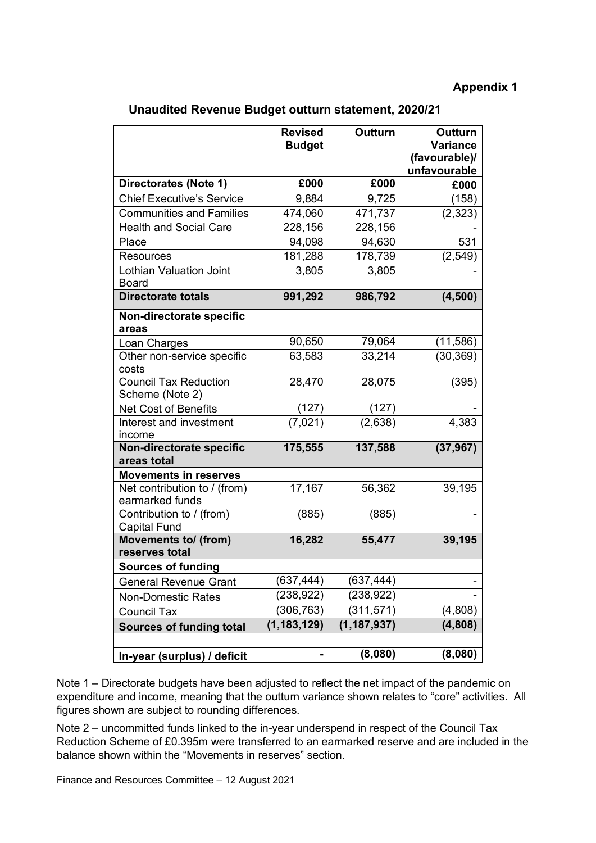**Unaudited Revenue Budget outturn statement, 2020/21**

|                                                 | <b>Revised</b><br><b>Budget</b> | Outturn       | Outturn<br><b>Variance</b><br>(favourable)/<br>unfavourable |
|-------------------------------------------------|---------------------------------|---------------|-------------------------------------------------------------|
| Directorates (Note 1)                           | £000                            | £000          | £000                                                        |
| <b>Chief Executive's Service</b>                | 9,884                           | 9,725         | (158)                                                       |
| <b>Communities and Families</b>                 | 474,060                         | 471,737       | (2, 323)                                                    |
| <b>Health and Social Care</b>                   | 228,156                         | 228,156       |                                                             |
| Place                                           | 94,098                          | 94,630        | 531                                                         |
| <b>Resources</b>                                | 181,288                         | 178,739       | (2, 549)                                                    |
| <b>Lothian Valuation Joint</b><br><b>Board</b>  | 3,805                           | 3,805         |                                                             |
| <b>Directorate totals</b>                       | 991,292                         | 986,792       | (4,500)                                                     |
| Non-directorate specific<br>areas               |                                 |               |                                                             |
| Loan Charges                                    | 90,650                          | 79,064        | (11, 586)                                                   |
| Other non-service specific<br>costs             | 63,583                          | 33,214        | (30, 369)                                                   |
| <b>Council Tax Reduction</b><br>Scheme (Note 2) | 28,470                          | 28,075        | (395)                                                       |
| <b>Net Cost of Benefits</b>                     | (127)                           | (127)         |                                                             |
| Interest and investment<br>income               | (7,021)                         | (2,638)       | 4,383                                                       |
| Non-directorate specific<br>areas total         | 175,555                         | 137,588       | (37, 967)                                                   |
| <b>Movements in reserves</b>                    |                                 |               |                                                             |
| Net contribution to / (from)<br>earmarked funds | 17,167                          | 56,362        | 39,195                                                      |
| Contribution to / (from)<br><b>Capital Fund</b> | (885)                           | (885)         |                                                             |
| <b>Movements to/ (from)</b><br>reserves total   | 16,282                          | 55,477        | 39,195                                                      |
| <b>Sources of funding</b>                       |                                 |               |                                                             |
| <b>General Revenue Grant</b>                    | (637,444)                       | (637,444)     |                                                             |
| <b>Non-Domestic Rates</b>                       | (238, 922)                      | (238, 922)    |                                                             |
| <b>Council Tax</b>                              | (306,763)                       | (311, 571)    | (4,808)                                                     |
| <b>Sources of funding total</b>                 | (1, 183, 129)                   | (1, 187, 937) | (4,808)                                                     |
|                                                 |                                 |               |                                                             |
| In-year (surplus) / deficit                     |                                 | (8,080)       | (8,080)                                                     |

Note 1 – Directorate budgets have been adjusted to reflect the net impact of the pandemic on expenditure and income, meaning that the outturn variance shown relates to "core" activities. All figures shown are subject to rounding differences.

Note 2 – uncommitted funds linked to the in-year underspend in respect of the Council Tax Reduction Scheme of £0.395m were transferred to an earmarked reserve and are included in the balance shown within the "Movements in reserves" section.

Finance and Resources Committee – 12 August 2021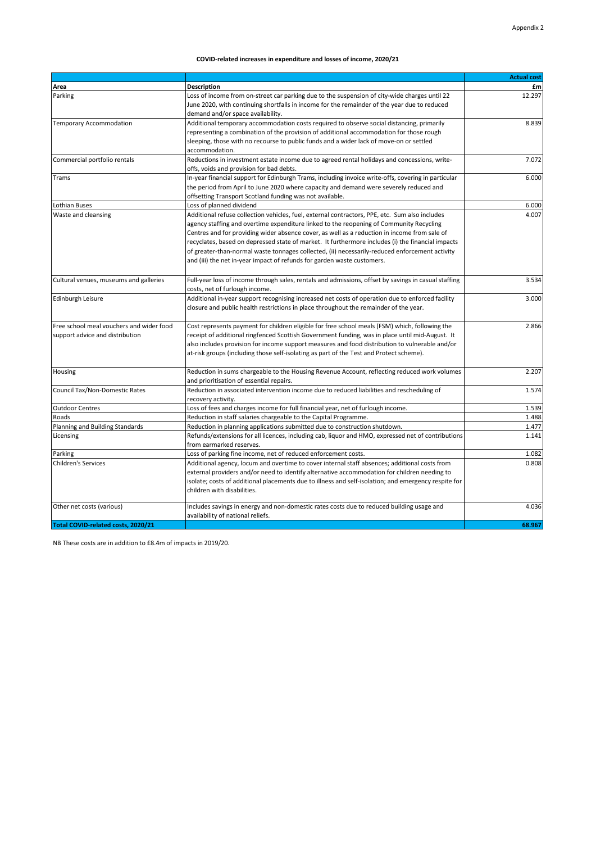#### **COVID-related increases in expenditure and losses of income, 2020/21**

| <b>Description</b><br>Area<br>£m<br>12.297<br>Loss of income from on-street car parking due to the suspension of city-wide charges until 22<br>Parking<br>June 2020, with continuing shortfalls in income for the remainder of the year due to reduced<br>demand and/or space availability.<br>Additional temporary accommodation costs required to observe social distancing, primarily<br>8.839<br>Temporary Accommodation<br>representing a combination of the provision of additional accommodation for those rough<br>sleeping, those with no recourse to public funds and a wider lack of move-on or settled<br>accommodation.<br>Commercial portfolio rentals<br>7.072<br>Reductions in investment estate income due to agreed rental holidays and concessions, write-<br>offs, voids and provision for bad debts.<br>In-year financial support for Edinburgh Trams, including invoice write-offs, covering in particular<br>6.000<br>Trams<br>the period from April to June 2020 where capacity and demand were severely reduced and<br>offsetting Transport Scotland funding was not available.<br>Lothian Buses<br>Loss of planned dividend<br>6.000<br>4.007<br>Waste and cleansing<br>Additional refuse collection vehicles, fuel, external contractors, PPE, etc. Sum also includes<br>agency staffing and overtime expenditure linked to the reopening of Community Recycling<br>Centres and for providing wider absence cover, as well as a reduction in income from sale of<br>recyclates, based on depressed state of market. It furthermore includes (i) the financial impacts<br>of greater-than-normal waste tonnages collected, (ii) necessarily-reduced enforcement activity<br>and (iii) the net in-year impact of refunds for garden waste customers.<br>Cultural venues, museums and galleries<br>Full-year loss of income through sales, rentals and admissions, offset by savings in casual staffing<br>3.534<br>costs, net of furlough income.<br>Additional in-year support recognising increased net costs of operation due to enforced facility<br>Edinburgh Leisure<br>3.000<br>closure and public health restrictions in place throughout the remainder of the year.<br>Cost represents payment for children eligible for free school meals (FSM) which, following the<br>2.866<br>receipt of additional ringfenced Scottish Government funding, was in place until mid-August. It<br>support advice and distribution<br>also includes provision for income support measures and food distribution to vulnerable and/or<br>at-risk groups (including those self-isolating as part of the Test and Protect scheme).<br>Reduction in sums chargeable to the Housing Revenue Account, reflecting reduced work volumes<br>2.207<br>and prioritisation of essential repairs.<br>Council Tax/Non-Domestic Rates<br>Reduction in associated intervention income due to reduced liabilities and rescheduling of<br>1.574<br>recovery activity.<br><b>Outdoor Centres</b><br>Loss of fees and charges income for full financial year, net of furlough income.<br>1.539<br>Roads<br>Reduction in staff salaries chargeable to the Capital Programme.<br>1.488<br>Planning and Building Standards<br>Reduction in planning applications submitted due to construction shutdown.<br>1.477<br>1.141<br>Licensing<br>Refunds/extensions for all licences, including cab, liquor and HMO, expressed net of contributions<br>from earmarked reserves.<br>Parking<br>Loss of parking fine income, net of reduced enforcement costs.<br>1.082<br><b>Children's Services</b><br>Additional agency, locum and overtime to cover internal staff absences; additional costs from<br>0.808<br>external providers and/or need to identify alternative accommodation for children needing to<br>isolate; costs of additional placements due to illness and self-isolation; and emergency respite for<br>children with disabilities.<br>Other net costs (various)<br>Includes savings in energy and non-domestic rates costs due to reduced building usage and<br>4.036<br>availability of national reliefs.<br>Total COVID-related costs, 2020/21<br>68.967 |                                          | <b>Actual cost</b> |
|---------------------------------------------------------------------------------------------------------------------------------------------------------------------------------------------------------------------------------------------------------------------------------------------------------------------------------------------------------------------------------------------------------------------------------------------------------------------------------------------------------------------------------------------------------------------------------------------------------------------------------------------------------------------------------------------------------------------------------------------------------------------------------------------------------------------------------------------------------------------------------------------------------------------------------------------------------------------------------------------------------------------------------------------------------------------------------------------------------------------------------------------------------------------------------------------------------------------------------------------------------------------------------------------------------------------------------------------------------------------------------------------------------------------------------------------------------------------------------------------------------------------------------------------------------------------------------------------------------------------------------------------------------------------------------------------------------------------------------------------------------------------------------------------------------------------------------------------------------------------------------------------------------------------------------------------------------------------------------------------------------------------------------------------------------------------------------------------------------------------------------------------------------------------------------------------------------------------------------------------------------------------------------------------------------------------------------------------------------------------------------------------------------------------------------------------------------------------------------------------------------------------------------------------------------------------------------------------------------------------------------------------------------------------------------------------------------------------------------------------------------------------------------------------------------------------------------------------------------------------------------------------------------------------------------------------------------------------------------------------------------------------------------------------------------------------------------------------------------------------------------------------------------------------------------------------------------------------------------------------------------------------------------------------------------------------------------------------------------------------------------------------------------------------------------------------------------------------------------------------------------------------------------------------------------------------------------------------------------------------------------------------------------------------------------------------------------------------------------------------------------------------------------------------------------------------------------------------------------------------------------------------------------------------------------------------------------------------------------------------------------------------------------------------------------------------------------------------------------------------------------------------------------------------|------------------------------------------|--------------------|
|                                                                                                                                                                                                                                                                                                                                                                                                                                                                                                                                                                                                                                                                                                                                                                                                                                                                                                                                                                                                                                                                                                                                                                                                                                                                                                                                                                                                                                                                                                                                                                                                                                                                                                                                                                                                                                                                                                                                                                                                                                                                                                                                                                                                                                                                                                                                                                                                                                                                                                                                                                                                                                                                                                                                                                                                                                                                                                                                                                                                                                                                                                                                                                                                                                                                                                                                                                                                                                                                                                                                                                                                                                                                                                                                                                                                                                                                                                                                                                                                                                                                                                                                                                     |                                          |                    |
|                                                                                                                                                                                                                                                                                                                                                                                                                                                                                                                                                                                                                                                                                                                                                                                                                                                                                                                                                                                                                                                                                                                                                                                                                                                                                                                                                                                                                                                                                                                                                                                                                                                                                                                                                                                                                                                                                                                                                                                                                                                                                                                                                                                                                                                                                                                                                                                                                                                                                                                                                                                                                                                                                                                                                                                                                                                                                                                                                                                                                                                                                                                                                                                                                                                                                                                                                                                                                                                                                                                                                                                                                                                                                                                                                                                                                                                                                                                                                                                                                                                                                                                                                                     |                                          |                    |
|                                                                                                                                                                                                                                                                                                                                                                                                                                                                                                                                                                                                                                                                                                                                                                                                                                                                                                                                                                                                                                                                                                                                                                                                                                                                                                                                                                                                                                                                                                                                                                                                                                                                                                                                                                                                                                                                                                                                                                                                                                                                                                                                                                                                                                                                                                                                                                                                                                                                                                                                                                                                                                                                                                                                                                                                                                                                                                                                                                                                                                                                                                                                                                                                                                                                                                                                                                                                                                                                                                                                                                                                                                                                                                                                                                                                                                                                                                                                                                                                                                                                                                                                                                     |                                          |                    |
|                                                                                                                                                                                                                                                                                                                                                                                                                                                                                                                                                                                                                                                                                                                                                                                                                                                                                                                                                                                                                                                                                                                                                                                                                                                                                                                                                                                                                                                                                                                                                                                                                                                                                                                                                                                                                                                                                                                                                                                                                                                                                                                                                                                                                                                                                                                                                                                                                                                                                                                                                                                                                                                                                                                                                                                                                                                                                                                                                                                                                                                                                                                                                                                                                                                                                                                                                                                                                                                                                                                                                                                                                                                                                                                                                                                                                                                                                                                                                                                                                                                                                                                                                                     |                                          |                    |
|                                                                                                                                                                                                                                                                                                                                                                                                                                                                                                                                                                                                                                                                                                                                                                                                                                                                                                                                                                                                                                                                                                                                                                                                                                                                                                                                                                                                                                                                                                                                                                                                                                                                                                                                                                                                                                                                                                                                                                                                                                                                                                                                                                                                                                                                                                                                                                                                                                                                                                                                                                                                                                                                                                                                                                                                                                                                                                                                                                                                                                                                                                                                                                                                                                                                                                                                                                                                                                                                                                                                                                                                                                                                                                                                                                                                                                                                                                                                                                                                                                                                                                                                                                     |                                          |                    |
|                                                                                                                                                                                                                                                                                                                                                                                                                                                                                                                                                                                                                                                                                                                                                                                                                                                                                                                                                                                                                                                                                                                                                                                                                                                                                                                                                                                                                                                                                                                                                                                                                                                                                                                                                                                                                                                                                                                                                                                                                                                                                                                                                                                                                                                                                                                                                                                                                                                                                                                                                                                                                                                                                                                                                                                                                                                                                                                                                                                                                                                                                                                                                                                                                                                                                                                                                                                                                                                                                                                                                                                                                                                                                                                                                                                                                                                                                                                                                                                                                                                                                                                                                                     |                                          |                    |
|                                                                                                                                                                                                                                                                                                                                                                                                                                                                                                                                                                                                                                                                                                                                                                                                                                                                                                                                                                                                                                                                                                                                                                                                                                                                                                                                                                                                                                                                                                                                                                                                                                                                                                                                                                                                                                                                                                                                                                                                                                                                                                                                                                                                                                                                                                                                                                                                                                                                                                                                                                                                                                                                                                                                                                                                                                                                                                                                                                                                                                                                                                                                                                                                                                                                                                                                                                                                                                                                                                                                                                                                                                                                                                                                                                                                                                                                                                                                                                                                                                                                                                                                                                     |                                          |                    |
|                                                                                                                                                                                                                                                                                                                                                                                                                                                                                                                                                                                                                                                                                                                                                                                                                                                                                                                                                                                                                                                                                                                                                                                                                                                                                                                                                                                                                                                                                                                                                                                                                                                                                                                                                                                                                                                                                                                                                                                                                                                                                                                                                                                                                                                                                                                                                                                                                                                                                                                                                                                                                                                                                                                                                                                                                                                                                                                                                                                                                                                                                                                                                                                                                                                                                                                                                                                                                                                                                                                                                                                                                                                                                                                                                                                                                                                                                                                                                                                                                                                                                                                                                                     |                                          |                    |
|                                                                                                                                                                                                                                                                                                                                                                                                                                                                                                                                                                                                                                                                                                                                                                                                                                                                                                                                                                                                                                                                                                                                                                                                                                                                                                                                                                                                                                                                                                                                                                                                                                                                                                                                                                                                                                                                                                                                                                                                                                                                                                                                                                                                                                                                                                                                                                                                                                                                                                                                                                                                                                                                                                                                                                                                                                                                                                                                                                                                                                                                                                                                                                                                                                                                                                                                                                                                                                                                                                                                                                                                                                                                                                                                                                                                                                                                                                                                                                                                                                                                                                                                                                     |                                          |                    |
|                                                                                                                                                                                                                                                                                                                                                                                                                                                                                                                                                                                                                                                                                                                                                                                                                                                                                                                                                                                                                                                                                                                                                                                                                                                                                                                                                                                                                                                                                                                                                                                                                                                                                                                                                                                                                                                                                                                                                                                                                                                                                                                                                                                                                                                                                                                                                                                                                                                                                                                                                                                                                                                                                                                                                                                                                                                                                                                                                                                                                                                                                                                                                                                                                                                                                                                                                                                                                                                                                                                                                                                                                                                                                                                                                                                                                                                                                                                                                                                                                                                                                                                                                                     |                                          |                    |
|                                                                                                                                                                                                                                                                                                                                                                                                                                                                                                                                                                                                                                                                                                                                                                                                                                                                                                                                                                                                                                                                                                                                                                                                                                                                                                                                                                                                                                                                                                                                                                                                                                                                                                                                                                                                                                                                                                                                                                                                                                                                                                                                                                                                                                                                                                                                                                                                                                                                                                                                                                                                                                                                                                                                                                                                                                                                                                                                                                                                                                                                                                                                                                                                                                                                                                                                                                                                                                                                                                                                                                                                                                                                                                                                                                                                                                                                                                                                                                                                                                                                                                                                                                     |                                          |                    |
|                                                                                                                                                                                                                                                                                                                                                                                                                                                                                                                                                                                                                                                                                                                                                                                                                                                                                                                                                                                                                                                                                                                                                                                                                                                                                                                                                                                                                                                                                                                                                                                                                                                                                                                                                                                                                                                                                                                                                                                                                                                                                                                                                                                                                                                                                                                                                                                                                                                                                                                                                                                                                                                                                                                                                                                                                                                                                                                                                                                                                                                                                                                                                                                                                                                                                                                                                                                                                                                                                                                                                                                                                                                                                                                                                                                                                                                                                                                                                                                                                                                                                                                                                                     |                                          |                    |
|                                                                                                                                                                                                                                                                                                                                                                                                                                                                                                                                                                                                                                                                                                                                                                                                                                                                                                                                                                                                                                                                                                                                                                                                                                                                                                                                                                                                                                                                                                                                                                                                                                                                                                                                                                                                                                                                                                                                                                                                                                                                                                                                                                                                                                                                                                                                                                                                                                                                                                                                                                                                                                                                                                                                                                                                                                                                                                                                                                                                                                                                                                                                                                                                                                                                                                                                                                                                                                                                                                                                                                                                                                                                                                                                                                                                                                                                                                                                                                                                                                                                                                                                                                     |                                          |                    |
|                                                                                                                                                                                                                                                                                                                                                                                                                                                                                                                                                                                                                                                                                                                                                                                                                                                                                                                                                                                                                                                                                                                                                                                                                                                                                                                                                                                                                                                                                                                                                                                                                                                                                                                                                                                                                                                                                                                                                                                                                                                                                                                                                                                                                                                                                                                                                                                                                                                                                                                                                                                                                                                                                                                                                                                                                                                                                                                                                                                                                                                                                                                                                                                                                                                                                                                                                                                                                                                                                                                                                                                                                                                                                                                                                                                                                                                                                                                                                                                                                                                                                                                                                                     |                                          |                    |
|                                                                                                                                                                                                                                                                                                                                                                                                                                                                                                                                                                                                                                                                                                                                                                                                                                                                                                                                                                                                                                                                                                                                                                                                                                                                                                                                                                                                                                                                                                                                                                                                                                                                                                                                                                                                                                                                                                                                                                                                                                                                                                                                                                                                                                                                                                                                                                                                                                                                                                                                                                                                                                                                                                                                                                                                                                                                                                                                                                                                                                                                                                                                                                                                                                                                                                                                                                                                                                                                                                                                                                                                                                                                                                                                                                                                                                                                                                                                                                                                                                                                                                                                                                     |                                          |                    |
|                                                                                                                                                                                                                                                                                                                                                                                                                                                                                                                                                                                                                                                                                                                                                                                                                                                                                                                                                                                                                                                                                                                                                                                                                                                                                                                                                                                                                                                                                                                                                                                                                                                                                                                                                                                                                                                                                                                                                                                                                                                                                                                                                                                                                                                                                                                                                                                                                                                                                                                                                                                                                                                                                                                                                                                                                                                                                                                                                                                                                                                                                                                                                                                                                                                                                                                                                                                                                                                                                                                                                                                                                                                                                                                                                                                                                                                                                                                                                                                                                                                                                                                                                                     |                                          |                    |
|                                                                                                                                                                                                                                                                                                                                                                                                                                                                                                                                                                                                                                                                                                                                                                                                                                                                                                                                                                                                                                                                                                                                                                                                                                                                                                                                                                                                                                                                                                                                                                                                                                                                                                                                                                                                                                                                                                                                                                                                                                                                                                                                                                                                                                                                                                                                                                                                                                                                                                                                                                                                                                                                                                                                                                                                                                                                                                                                                                                                                                                                                                                                                                                                                                                                                                                                                                                                                                                                                                                                                                                                                                                                                                                                                                                                                                                                                                                                                                                                                                                                                                                                                                     |                                          |                    |
|                                                                                                                                                                                                                                                                                                                                                                                                                                                                                                                                                                                                                                                                                                                                                                                                                                                                                                                                                                                                                                                                                                                                                                                                                                                                                                                                                                                                                                                                                                                                                                                                                                                                                                                                                                                                                                                                                                                                                                                                                                                                                                                                                                                                                                                                                                                                                                                                                                                                                                                                                                                                                                                                                                                                                                                                                                                                                                                                                                                                                                                                                                                                                                                                                                                                                                                                                                                                                                                                                                                                                                                                                                                                                                                                                                                                                                                                                                                                                                                                                                                                                                                                                                     |                                          |                    |
|                                                                                                                                                                                                                                                                                                                                                                                                                                                                                                                                                                                                                                                                                                                                                                                                                                                                                                                                                                                                                                                                                                                                                                                                                                                                                                                                                                                                                                                                                                                                                                                                                                                                                                                                                                                                                                                                                                                                                                                                                                                                                                                                                                                                                                                                                                                                                                                                                                                                                                                                                                                                                                                                                                                                                                                                                                                                                                                                                                                                                                                                                                                                                                                                                                                                                                                                                                                                                                                                                                                                                                                                                                                                                                                                                                                                                                                                                                                                                                                                                                                                                                                                                                     |                                          |                    |
|                                                                                                                                                                                                                                                                                                                                                                                                                                                                                                                                                                                                                                                                                                                                                                                                                                                                                                                                                                                                                                                                                                                                                                                                                                                                                                                                                                                                                                                                                                                                                                                                                                                                                                                                                                                                                                                                                                                                                                                                                                                                                                                                                                                                                                                                                                                                                                                                                                                                                                                                                                                                                                                                                                                                                                                                                                                                                                                                                                                                                                                                                                                                                                                                                                                                                                                                                                                                                                                                                                                                                                                                                                                                                                                                                                                                                                                                                                                                                                                                                                                                                                                                                                     |                                          |                    |
|                                                                                                                                                                                                                                                                                                                                                                                                                                                                                                                                                                                                                                                                                                                                                                                                                                                                                                                                                                                                                                                                                                                                                                                                                                                                                                                                                                                                                                                                                                                                                                                                                                                                                                                                                                                                                                                                                                                                                                                                                                                                                                                                                                                                                                                                                                                                                                                                                                                                                                                                                                                                                                                                                                                                                                                                                                                                                                                                                                                                                                                                                                                                                                                                                                                                                                                                                                                                                                                                                                                                                                                                                                                                                                                                                                                                                                                                                                                                                                                                                                                                                                                                                                     |                                          |                    |
|                                                                                                                                                                                                                                                                                                                                                                                                                                                                                                                                                                                                                                                                                                                                                                                                                                                                                                                                                                                                                                                                                                                                                                                                                                                                                                                                                                                                                                                                                                                                                                                                                                                                                                                                                                                                                                                                                                                                                                                                                                                                                                                                                                                                                                                                                                                                                                                                                                                                                                                                                                                                                                                                                                                                                                                                                                                                                                                                                                                                                                                                                                                                                                                                                                                                                                                                                                                                                                                                                                                                                                                                                                                                                                                                                                                                                                                                                                                                                                                                                                                                                                                                                                     |                                          |                    |
|                                                                                                                                                                                                                                                                                                                                                                                                                                                                                                                                                                                                                                                                                                                                                                                                                                                                                                                                                                                                                                                                                                                                                                                                                                                                                                                                                                                                                                                                                                                                                                                                                                                                                                                                                                                                                                                                                                                                                                                                                                                                                                                                                                                                                                                                                                                                                                                                                                                                                                                                                                                                                                                                                                                                                                                                                                                                                                                                                                                                                                                                                                                                                                                                                                                                                                                                                                                                                                                                                                                                                                                                                                                                                                                                                                                                                                                                                                                                                                                                                                                                                                                                                                     |                                          |                    |
|                                                                                                                                                                                                                                                                                                                                                                                                                                                                                                                                                                                                                                                                                                                                                                                                                                                                                                                                                                                                                                                                                                                                                                                                                                                                                                                                                                                                                                                                                                                                                                                                                                                                                                                                                                                                                                                                                                                                                                                                                                                                                                                                                                                                                                                                                                                                                                                                                                                                                                                                                                                                                                                                                                                                                                                                                                                                                                                                                                                                                                                                                                                                                                                                                                                                                                                                                                                                                                                                                                                                                                                                                                                                                                                                                                                                                                                                                                                                                                                                                                                                                                                                                                     |                                          |                    |
|                                                                                                                                                                                                                                                                                                                                                                                                                                                                                                                                                                                                                                                                                                                                                                                                                                                                                                                                                                                                                                                                                                                                                                                                                                                                                                                                                                                                                                                                                                                                                                                                                                                                                                                                                                                                                                                                                                                                                                                                                                                                                                                                                                                                                                                                                                                                                                                                                                                                                                                                                                                                                                                                                                                                                                                                                                                                                                                                                                                                                                                                                                                                                                                                                                                                                                                                                                                                                                                                                                                                                                                                                                                                                                                                                                                                                                                                                                                                                                                                                                                                                                                                                                     |                                          |                    |
|                                                                                                                                                                                                                                                                                                                                                                                                                                                                                                                                                                                                                                                                                                                                                                                                                                                                                                                                                                                                                                                                                                                                                                                                                                                                                                                                                                                                                                                                                                                                                                                                                                                                                                                                                                                                                                                                                                                                                                                                                                                                                                                                                                                                                                                                                                                                                                                                                                                                                                                                                                                                                                                                                                                                                                                                                                                                                                                                                                                                                                                                                                                                                                                                                                                                                                                                                                                                                                                                                                                                                                                                                                                                                                                                                                                                                                                                                                                                                                                                                                                                                                                                                                     |                                          |                    |
|                                                                                                                                                                                                                                                                                                                                                                                                                                                                                                                                                                                                                                                                                                                                                                                                                                                                                                                                                                                                                                                                                                                                                                                                                                                                                                                                                                                                                                                                                                                                                                                                                                                                                                                                                                                                                                                                                                                                                                                                                                                                                                                                                                                                                                                                                                                                                                                                                                                                                                                                                                                                                                                                                                                                                                                                                                                                                                                                                                                                                                                                                                                                                                                                                                                                                                                                                                                                                                                                                                                                                                                                                                                                                                                                                                                                                                                                                                                                                                                                                                                                                                                                                                     | Free school meal vouchers and wider food |                    |
|                                                                                                                                                                                                                                                                                                                                                                                                                                                                                                                                                                                                                                                                                                                                                                                                                                                                                                                                                                                                                                                                                                                                                                                                                                                                                                                                                                                                                                                                                                                                                                                                                                                                                                                                                                                                                                                                                                                                                                                                                                                                                                                                                                                                                                                                                                                                                                                                                                                                                                                                                                                                                                                                                                                                                                                                                                                                                                                                                                                                                                                                                                                                                                                                                                                                                                                                                                                                                                                                                                                                                                                                                                                                                                                                                                                                                                                                                                                                                                                                                                                                                                                                                                     |                                          |                    |
|                                                                                                                                                                                                                                                                                                                                                                                                                                                                                                                                                                                                                                                                                                                                                                                                                                                                                                                                                                                                                                                                                                                                                                                                                                                                                                                                                                                                                                                                                                                                                                                                                                                                                                                                                                                                                                                                                                                                                                                                                                                                                                                                                                                                                                                                                                                                                                                                                                                                                                                                                                                                                                                                                                                                                                                                                                                                                                                                                                                                                                                                                                                                                                                                                                                                                                                                                                                                                                                                                                                                                                                                                                                                                                                                                                                                                                                                                                                                                                                                                                                                                                                                                                     |                                          |                    |
|                                                                                                                                                                                                                                                                                                                                                                                                                                                                                                                                                                                                                                                                                                                                                                                                                                                                                                                                                                                                                                                                                                                                                                                                                                                                                                                                                                                                                                                                                                                                                                                                                                                                                                                                                                                                                                                                                                                                                                                                                                                                                                                                                                                                                                                                                                                                                                                                                                                                                                                                                                                                                                                                                                                                                                                                                                                                                                                                                                                                                                                                                                                                                                                                                                                                                                                                                                                                                                                                                                                                                                                                                                                                                                                                                                                                                                                                                                                                                                                                                                                                                                                                                                     |                                          |                    |
|                                                                                                                                                                                                                                                                                                                                                                                                                                                                                                                                                                                                                                                                                                                                                                                                                                                                                                                                                                                                                                                                                                                                                                                                                                                                                                                                                                                                                                                                                                                                                                                                                                                                                                                                                                                                                                                                                                                                                                                                                                                                                                                                                                                                                                                                                                                                                                                                                                                                                                                                                                                                                                                                                                                                                                                                                                                                                                                                                                                                                                                                                                                                                                                                                                                                                                                                                                                                                                                                                                                                                                                                                                                                                                                                                                                                                                                                                                                                                                                                                                                                                                                                                                     |                                          |                    |
|                                                                                                                                                                                                                                                                                                                                                                                                                                                                                                                                                                                                                                                                                                                                                                                                                                                                                                                                                                                                                                                                                                                                                                                                                                                                                                                                                                                                                                                                                                                                                                                                                                                                                                                                                                                                                                                                                                                                                                                                                                                                                                                                                                                                                                                                                                                                                                                                                                                                                                                                                                                                                                                                                                                                                                                                                                                                                                                                                                                                                                                                                                                                                                                                                                                                                                                                                                                                                                                                                                                                                                                                                                                                                                                                                                                                                                                                                                                                                                                                                                                                                                                                                                     | Housing                                  |                    |
|                                                                                                                                                                                                                                                                                                                                                                                                                                                                                                                                                                                                                                                                                                                                                                                                                                                                                                                                                                                                                                                                                                                                                                                                                                                                                                                                                                                                                                                                                                                                                                                                                                                                                                                                                                                                                                                                                                                                                                                                                                                                                                                                                                                                                                                                                                                                                                                                                                                                                                                                                                                                                                                                                                                                                                                                                                                                                                                                                                                                                                                                                                                                                                                                                                                                                                                                                                                                                                                                                                                                                                                                                                                                                                                                                                                                                                                                                                                                                                                                                                                                                                                                                                     |                                          |                    |
|                                                                                                                                                                                                                                                                                                                                                                                                                                                                                                                                                                                                                                                                                                                                                                                                                                                                                                                                                                                                                                                                                                                                                                                                                                                                                                                                                                                                                                                                                                                                                                                                                                                                                                                                                                                                                                                                                                                                                                                                                                                                                                                                                                                                                                                                                                                                                                                                                                                                                                                                                                                                                                                                                                                                                                                                                                                                                                                                                                                                                                                                                                                                                                                                                                                                                                                                                                                                                                                                                                                                                                                                                                                                                                                                                                                                                                                                                                                                                                                                                                                                                                                                                                     |                                          |                    |
|                                                                                                                                                                                                                                                                                                                                                                                                                                                                                                                                                                                                                                                                                                                                                                                                                                                                                                                                                                                                                                                                                                                                                                                                                                                                                                                                                                                                                                                                                                                                                                                                                                                                                                                                                                                                                                                                                                                                                                                                                                                                                                                                                                                                                                                                                                                                                                                                                                                                                                                                                                                                                                                                                                                                                                                                                                                                                                                                                                                                                                                                                                                                                                                                                                                                                                                                                                                                                                                                                                                                                                                                                                                                                                                                                                                                                                                                                                                                                                                                                                                                                                                                                                     |                                          |                    |
|                                                                                                                                                                                                                                                                                                                                                                                                                                                                                                                                                                                                                                                                                                                                                                                                                                                                                                                                                                                                                                                                                                                                                                                                                                                                                                                                                                                                                                                                                                                                                                                                                                                                                                                                                                                                                                                                                                                                                                                                                                                                                                                                                                                                                                                                                                                                                                                                                                                                                                                                                                                                                                                                                                                                                                                                                                                                                                                                                                                                                                                                                                                                                                                                                                                                                                                                                                                                                                                                                                                                                                                                                                                                                                                                                                                                                                                                                                                                                                                                                                                                                                                                                                     |                                          |                    |
|                                                                                                                                                                                                                                                                                                                                                                                                                                                                                                                                                                                                                                                                                                                                                                                                                                                                                                                                                                                                                                                                                                                                                                                                                                                                                                                                                                                                                                                                                                                                                                                                                                                                                                                                                                                                                                                                                                                                                                                                                                                                                                                                                                                                                                                                                                                                                                                                                                                                                                                                                                                                                                                                                                                                                                                                                                                                                                                                                                                                                                                                                                                                                                                                                                                                                                                                                                                                                                                                                                                                                                                                                                                                                                                                                                                                                                                                                                                                                                                                                                                                                                                                                                     |                                          |                    |
|                                                                                                                                                                                                                                                                                                                                                                                                                                                                                                                                                                                                                                                                                                                                                                                                                                                                                                                                                                                                                                                                                                                                                                                                                                                                                                                                                                                                                                                                                                                                                                                                                                                                                                                                                                                                                                                                                                                                                                                                                                                                                                                                                                                                                                                                                                                                                                                                                                                                                                                                                                                                                                                                                                                                                                                                                                                                                                                                                                                                                                                                                                                                                                                                                                                                                                                                                                                                                                                                                                                                                                                                                                                                                                                                                                                                                                                                                                                                                                                                                                                                                                                                                                     |                                          |                    |
|                                                                                                                                                                                                                                                                                                                                                                                                                                                                                                                                                                                                                                                                                                                                                                                                                                                                                                                                                                                                                                                                                                                                                                                                                                                                                                                                                                                                                                                                                                                                                                                                                                                                                                                                                                                                                                                                                                                                                                                                                                                                                                                                                                                                                                                                                                                                                                                                                                                                                                                                                                                                                                                                                                                                                                                                                                                                                                                                                                                                                                                                                                                                                                                                                                                                                                                                                                                                                                                                                                                                                                                                                                                                                                                                                                                                                                                                                                                                                                                                                                                                                                                                                                     |                                          |                    |
|                                                                                                                                                                                                                                                                                                                                                                                                                                                                                                                                                                                                                                                                                                                                                                                                                                                                                                                                                                                                                                                                                                                                                                                                                                                                                                                                                                                                                                                                                                                                                                                                                                                                                                                                                                                                                                                                                                                                                                                                                                                                                                                                                                                                                                                                                                                                                                                                                                                                                                                                                                                                                                                                                                                                                                                                                                                                                                                                                                                                                                                                                                                                                                                                                                                                                                                                                                                                                                                                                                                                                                                                                                                                                                                                                                                                                                                                                                                                                                                                                                                                                                                                                                     |                                          |                    |
|                                                                                                                                                                                                                                                                                                                                                                                                                                                                                                                                                                                                                                                                                                                                                                                                                                                                                                                                                                                                                                                                                                                                                                                                                                                                                                                                                                                                                                                                                                                                                                                                                                                                                                                                                                                                                                                                                                                                                                                                                                                                                                                                                                                                                                                                                                                                                                                                                                                                                                                                                                                                                                                                                                                                                                                                                                                                                                                                                                                                                                                                                                                                                                                                                                                                                                                                                                                                                                                                                                                                                                                                                                                                                                                                                                                                                                                                                                                                                                                                                                                                                                                                                                     |                                          |                    |
|                                                                                                                                                                                                                                                                                                                                                                                                                                                                                                                                                                                                                                                                                                                                                                                                                                                                                                                                                                                                                                                                                                                                                                                                                                                                                                                                                                                                                                                                                                                                                                                                                                                                                                                                                                                                                                                                                                                                                                                                                                                                                                                                                                                                                                                                                                                                                                                                                                                                                                                                                                                                                                                                                                                                                                                                                                                                                                                                                                                                                                                                                                                                                                                                                                                                                                                                                                                                                                                                                                                                                                                                                                                                                                                                                                                                                                                                                                                                                                                                                                                                                                                                                                     |                                          |                    |
|                                                                                                                                                                                                                                                                                                                                                                                                                                                                                                                                                                                                                                                                                                                                                                                                                                                                                                                                                                                                                                                                                                                                                                                                                                                                                                                                                                                                                                                                                                                                                                                                                                                                                                                                                                                                                                                                                                                                                                                                                                                                                                                                                                                                                                                                                                                                                                                                                                                                                                                                                                                                                                                                                                                                                                                                                                                                                                                                                                                                                                                                                                                                                                                                                                                                                                                                                                                                                                                                                                                                                                                                                                                                                                                                                                                                                                                                                                                                                                                                                                                                                                                                                                     |                                          |                    |
|                                                                                                                                                                                                                                                                                                                                                                                                                                                                                                                                                                                                                                                                                                                                                                                                                                                                                                                                                                                                                                                                                                                                                                                                                                                                                                                                                                                                                                                                                                                                                                                                                                                                                                                                                                                                                                                                                                                                                                                                                                                                                                                                                                                                                                                                                                                                                                                                                                                                                                                                                                                                                                                                                                                                                                                                                                                                                                                                                                                                                                                                                                                                                                                                                                                                                                                                                                                                                                                                                                                                                                                                                                                                                                                                                                                                                                                                                                                                                                                                                                                                                                                                                                     |                                          |                    |
|                                                                                                                                                                                                                                                                                                                                                                                                                                                                                                                                                                                                                                                                                                                                                                                                                                                                                                                                                                                                                                                                                                                                                                                                                                                                                                                                                                                                                                                                                                                                                                                                                                                                                                                                                                                                                                                                                                                                                                                                                                                                                                                                                                                                                                                                                                                                                                                                                                                                                                                                                                                                                                                                                                                                                                                                                                                                                                                                                                                                                                                                                                                                                                                                                                                                                                                                                                                                                                                                                                                                                                                                                                                                                                                                                                                                                                                                                                                                                                                                                                                                                                                                                                     |                                          |                    |
|                                                                                                                                                                                                                                                                                                                                                                                                                                                                                                                                                                                                                                                                                                                                                                                                                                                                                                                                                                                                                                                                                                                                                                                                                                                                                                                                                                                                                                                                                                                                                                                                                                                                                                                                                                                                                                                                                                                                                                                                                                                                                                                                                                                                                                                                                                                                                                                                                                                                                                                                                                                                                                                                                                                                                                                                                                                                                                                                                                                                                                                                                                                                                                                                                                                                                                                                                                                                                                                                                                                                                                                                                                                                                                                                                                                                                                                                                                                                                                                                                                                                                                                                                                     |                                          |                    |
|                                                                                                                                                                                                                                                                                                                                                                                                                                                                                                                                                                                                                                                                                                                                                                                                                                                                                                                                                                                                                                                                                                                                                                                                                                                                                                                                                                                                                                                                                                                                                                                                                                                                                                                                                                                                                                                                                                                                                                                                                                                                                                                                                                                                                                                                                                                                                                                                                                                                                                                                                                                                                                                                                                                                                                                                                                                                                                                                                                                                                                                                                                                                                                                                                                                                                                                                                                                                                                                                                                                                                                                                                                                                                                                                                                                                                                                                                                                                                                                                                                                                                                                                                                     |                                          |                    |
|                                                                                                                                                                                                                                                                                                                                                                                                                                                                                                                                                                                                                                                                                                                                                                                                                                                                                                                                                                                                                                                                                                                                                                                                                                                                                                                                                                                                                                                                                                                                                                                                                                                                                                                                                                                                                                                                                                                                                                                                                                                                                                                                                                                                                                                                                                                                                                                                                                                                                                                                                                                                                                                                                                                                                                                                                                                                                                                                                                                                                                                                                                                                                                                                                                                                                                                                                                                                                                                                                                                                                                                                                                                                                                                                                                                                                                                                                                                                                                                                                                                                                                                                                                     |                                          |                    |

NB These costs are in addition to £8.4m of impacts in 2019/20.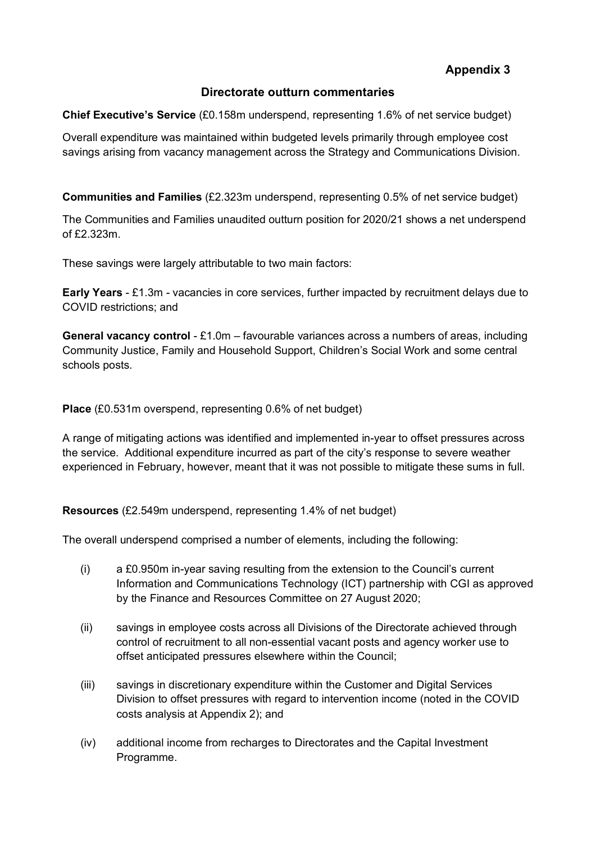**Appendix 3**

#### **Directorate outturn commentaries**

**Chief Executive's Service** (£0.158m underspend, representing 1.6% of net service budget)

Overall expenditure was maintained within budgeted levels primarily through employee cost savings arising from vacancy management across the Strategy and Communications Division.

**Communities and Families** (£2.323m underspend, representing 0.5% of net service budget)

The Communities and Families unaudited outturn position for 2020/21 shows a net underspend of £2.323m.

These savings were largely attributable to two main factors:

**Early Years** - £1.3m - vacancies in core services, further impacted by recruitment delays due to COVID restrictions; and

**General vacancy control** - £1.0m – favourable variances across a numbers of areas, including Community Justice, Family and Household Support, Children's Social Work and some central schools posts.

**Place** (£0.531m overspend, representing 0.6% of net budget)

A range of mitigating actions was identified and implemented in-year to offset pressures across the service. Additional expenditure incurred as part of the city's response to severe weather experienced in February, however, meant that it was not possible to mitigate these sums in full.

**Resources** (£2.549m underspend, representing 1.4% of net budget)

The overall underspend comprised a number of elements, including the following:

- (i) a £0.950m in-year saving resulting from the extension to the Council's current Information and Communications Technology (ICT) partnership with CGI as approved by the Finance and Resources Committee on 27 August 2020;
- (ii) savings in employee costs across all Divisions of the Directorate achieved through control of recruitment to all non-essential vacant posts and agency worker use to offset anticipated pressures elsewhere within the Council;
- (iii) savings in discretionary expenditure within the Customer and Digital Services Division to offset pressures with regard to intervention income (noted in the COVID costs analysis at Appendix 2); and
- (iv) additional income from recharges to Directorates and the Capital Investment Programme.